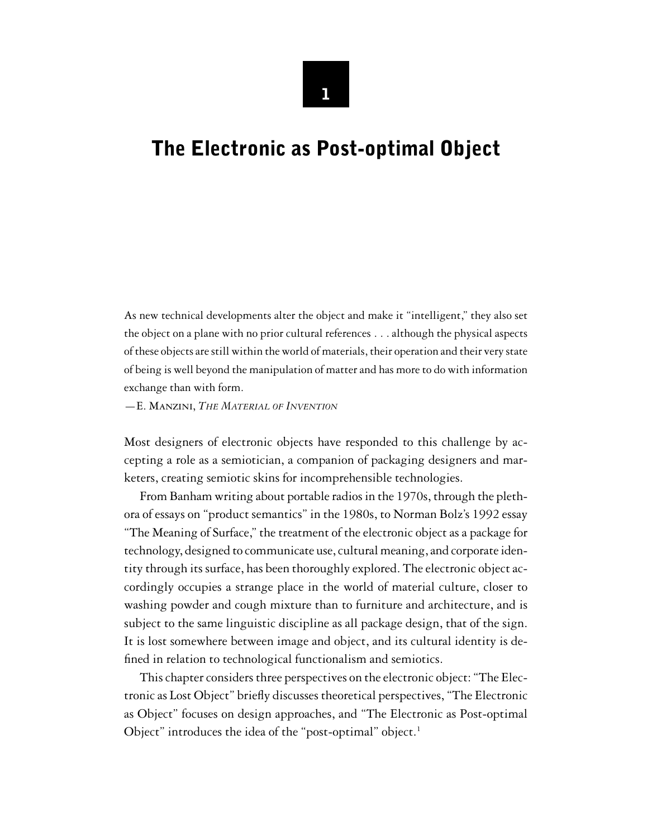# **[The Electronic as Post-optimal Object](#page--1-0)**

As new technical developments alter the object and make it "intelligent," they also set the object on a plane with no prior cultural references . . . although the physical aspects of these objects are still within the world of materials, their operation and their very state of being is well beyond the manipulation of matter and has more to do with information exchange than with form.

—E. Manzini, *THE MATERIAL OF INVENTION*

Most designers of electronic objects have responded to this challenge by accepting a role as a semiotician, a companion of packaging designers and marketers, creating semiotic skins for incomprehensible technologies.

From Banham writing about portable radios in the 1970s, through the plethora of essays on "product semantics" in the 1980s, to Norman Bolz's 1992 essay "The Meaning of Surface," the treatment of the electronic object as a package for technology, designed to communicate use, cultural meaning, and corporate identity through its surface, has been thoroughly explored. The electronic object accordingly occupies a strange place in the world of material culture, closer to washing powder and cough mixture than to furniture and architecture, and is subject to the same linguistic discipline as all package design, that of the sign. It is lost somewhere between image and object, and its cultural identity is defined in relation to technological functionalism and semiotics.

This chapter considers three perspectives on the electronic object: "The Electronic as Lost Object" briefly discusses theoretical perspectives, "The Electronic as Object" focuses on design approaches, and "The Electronic as Post-optimal Object" introduces the idea of the "post-optimal" object.<sup>1</sup>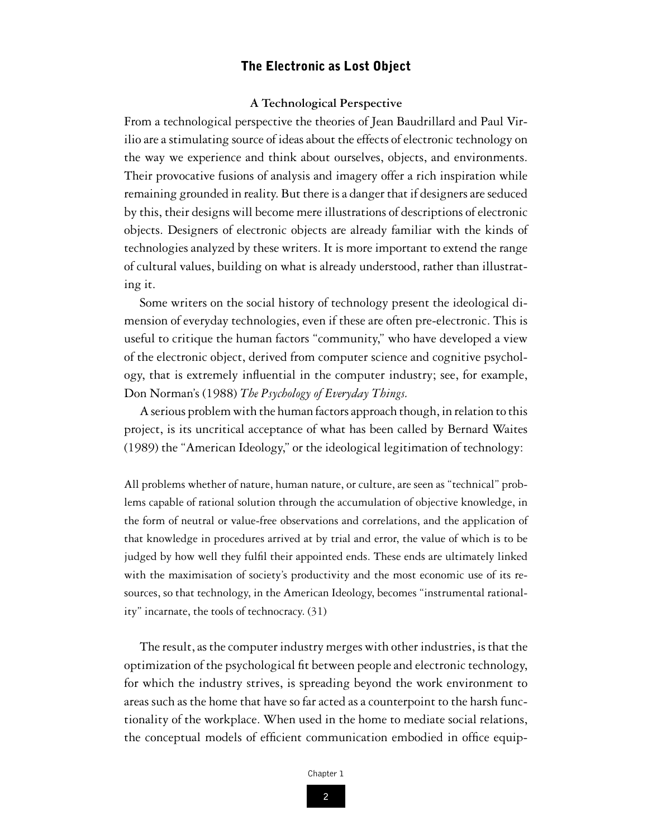## **The Electronic as Lost Object**

#### **A Technological Perspective**

From a technological perspective the theories of Jean Baudrillard and Paul Virilio are a stimulating source of ideas about the effects of electronic technology on the way we experience and think about ourselves, objects, and environments. Their provocative fusions of analysis and imagery offer a rich inspiration while remaining grounded in reality. But there is a danger that if designers are seduced by this, their designs will become mere illustrations of descriptions of electronic objects. Designers of electronic objects are already familiar with the kinds of technologies analyzed by these writers. It is more important to extend the range of cultural values, building on what is already understood, rather than illustrating it.

Some writers on the social history of technology present the ideological dimension of everyday technologies, even if these are often pre-electronic. This is useful to critique the human factors "community," who have developed a view of the electronic object, derived from computer science and cognitive psychology, that is extremely influential in the computer industry; see, for example, Don Norman's (1988) *The Psychology of Everyday Things.*

A serious problem with the human factors approach though, in relation to this project, is its uncritical acceptance of what has been called by Bernard Waites (1989) the "American Ideology," or the ideological legitimation of technology:

All problems whether of nature, human nature, or culture, are seen as "technical" problems capable of rational solution through the accumulation of objective knowledge, in the form of neutral or value-free observations and correlations, and the application of that knowledge in procedures arrived at by trial and error, the value of which is to be judged by how well they fulfil their appointed ends. These ends are ultimately linked with the maximisation of society's productivity and the most economic use of its resources, so that technology, in the American Ideology, becomes "instrumental rationality" incarnate, the tools of technocracy. (31)

The result, as the computer industry merges with other industries, is that the optimization of the psychological fit between people and electronic technology, for which the industry strives, is spreading beyond the work environment to areas such as the home that have so far acted as a counterpoint to the harsh functionality of the workplace. When used in the home to mediate social relations, the conceptual models of efficient communication embodied in office equip-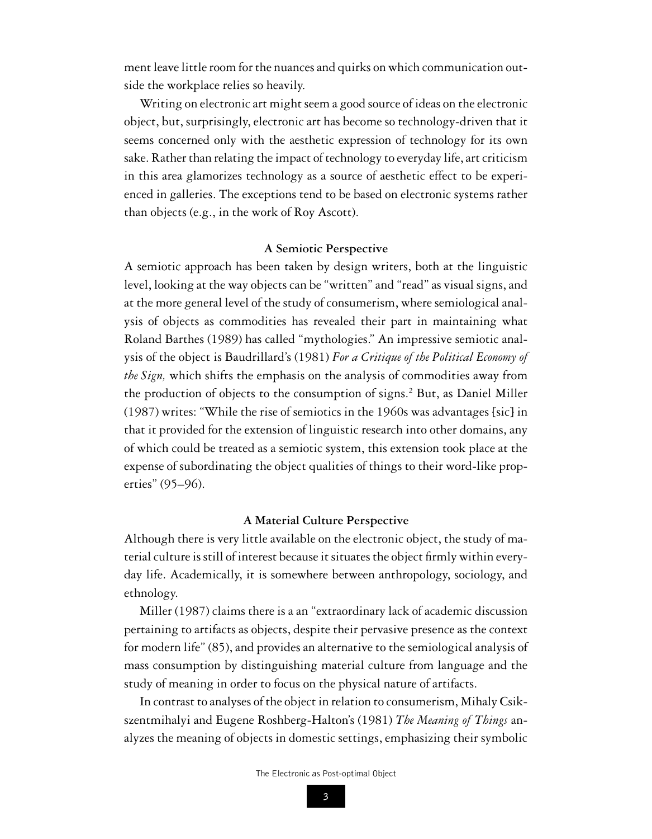ment leave little room for the nuances and quirks on which communication outside the workplace relies so heavily.

Writing on electronic art might seem a good source of ideas on the electronic object, but, surprisingly, electronic art has become so technology-driven that it seems concerned only with the aesthetic expression of technology for its own sake. Rather than relating the impact of technology to everyday life, art criticism in this area glamorizes technology as a source of aesthetic effect to be experienced in galleries. The exceptions tend to be based on electronic systems rather than objects (e.g., in the work of Roy Ascott).

#### **A Semiotic Perspective**

A semiotic approach has been taken by design writers, both at the linguistic level, looking at the way objects can be "written" and "read" as visual signs, and at the more general level of the study of consumerism, where semiological analysis of objects as commodities has revealed their part in maintaining what Roland Barthes (1989) has called "mythologies." An impressive semiotic analysis of the object is Baudrillard's (1981) *For a Critique of the Political Economy of the Sign,* which shifts the emphasis on the analysis of commodities away from the production of objects to the consumption of signs.<sup>2</sup> But, as Daniel Miller (1987) writes: "While the rise of semiotics in the 1960s was advantages [sic] in that it provided for the extension of linguistic research into other domains, any of which could be treated as a semiotic system, this extension took place at the expense of subordinating the object qualities of things to their word-like properties" (95–96).

#### **A Material Culture Perspective**

Although there is very little available on the electronic object, the study of material culture is still of interest because it situates the object firmly within everyday life. Academically, it is somewhere between anthropology, sociology, and ethnology.

Miller (1987) claims there is a an "extraordinary lack of academic discussion pertaining to artifacts as objects, despite their pervasive presence as the context for modern life" (85), and provides an alternative to the semiological analysis of mass consumption by distinguishing material culture from language and the study of meaning in order to focus on the physical nature of artifacts.

In contrast to analyses of the object in relation to consumerism, Mihaly Csikszentmihalyi and Eugene Roshberg-Halton's (1981) *The Meaning of Things* analyzes the meaning of objects in domestic settings, emphasizing their symbolic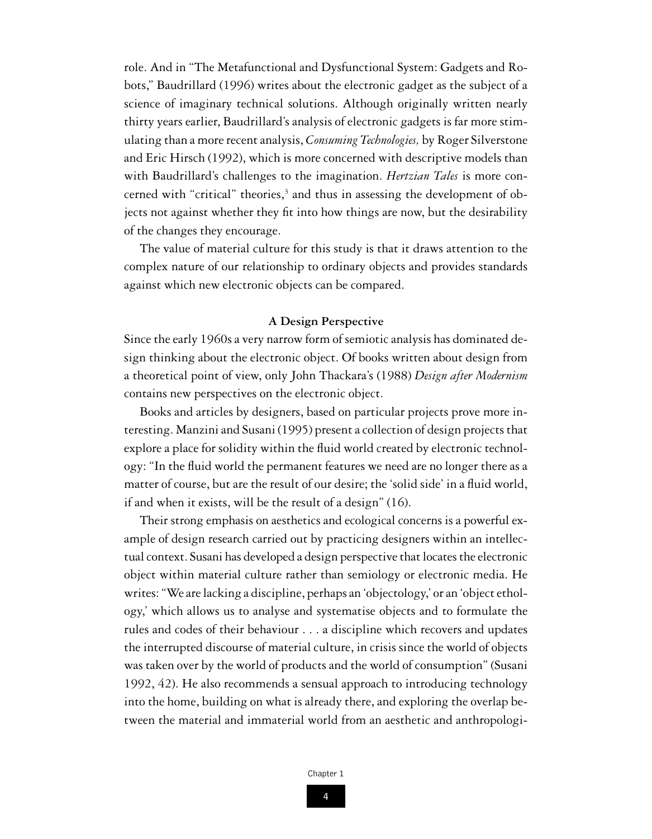role. And in "The Metafunctional and Dysfunctional System: Gadgets and Robots," Baudrillard (1996) writes about the electronic gadget as the subject of a science of imaginary technical solutions. Although originally written nearly thirty years earlier, Baudrillard's analysis of electronic gadgets is far more stimulating than a more recent analysis, *Consuming Technologies,* by Roger Silverstone and Eric Hirsch (1992), which is more concerned with descriptive models than with Baudrillard's challenges to the imagination. *Hertzian Tales* is more concerned with "critical" theories, $3$  and thus in assessing the development of objects not against whether they fit into how things are now, but the desirability of the changes they encourage.

The value of material culture for this study is that it draws attention to the complex nature of our relationship to ordinary objects and provides standards against which new electronic objects can be compared.

#### **A Design Perspective**

Since the early 1960s a very narrow form of semiotic analysis has dominated design thinking about the electronic object. Of books written about design from a theoretical point of view, only John Thackara's (1988) *Design after Modernism* contains new perspectives on the electronic object.

Books and articles by designers, based on particular projects prove more interesting. Manzini and Susani (1995) present a collection of design projects that explore a place for solidity within the fluid world created by electronic technology: "In the fluid world the permanent features we need are no longer there as a matter of course, but are the result of our desire; the 'solid side' in a fluid world, if and when it exists, will be the result of a design" (16).

Their strong emphasis on aesthetics and ecological concerns is a powerful example of design research carried out by practicing designers within an intellectual context. Susani has developed a design perspective that locates the electronic object within material culture rather than semiology or electronic media. He writes: "We are lacking a discipline, perhaps an 'objectology,' or an 'object ethology,' which allows us to analyse and systematise objects and to formulate the rules and codes of their behaviour . . . a discipline which recovers and updates the interrupted discourse of material culture, in crisis since the world of objects was taken over by the world of products and the world of consumption" (Susani 1992, 42). He also recommends a sensual approach to introducing technology into the home, building on what is already there, and exploring the overlap between the material and immaterial world from an aesthetic and anthropologi-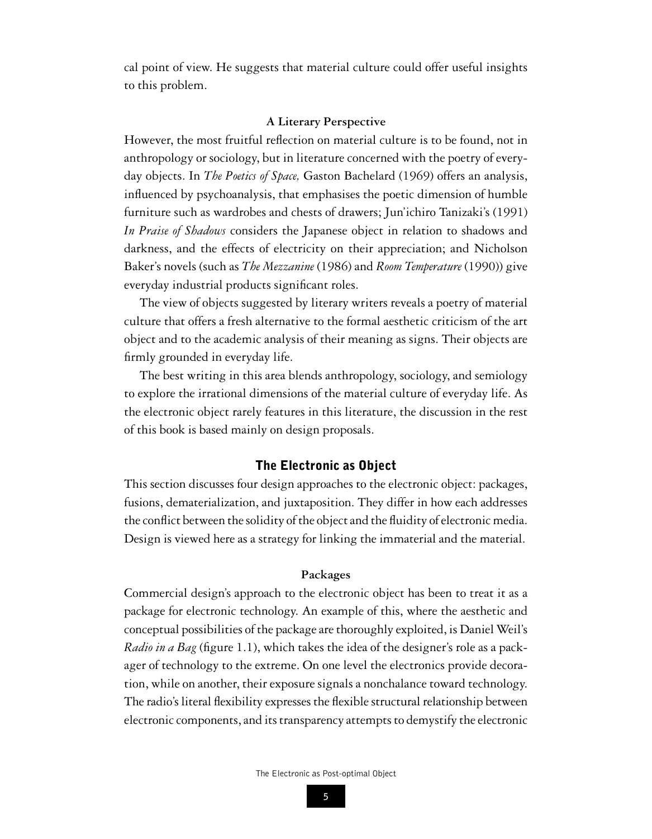cal point of view. He suggests that material culture could offer useful insights to this problem.

#### **A Literary Perspective**

However, the most fruitful reflection on material culture is to be found, not in anthropology or sociology, but in literature concerned with the poetry of everyday objects. In *The Poetics of Space,* Gaston Bachelard (1969) offers an analysis, influenced by psychoanalysis, that emphasises the poetic dimension of humble furniture such as wardrobes and chests of drawers; Jun'ichiro Tanizaki's (1991) *In Praise of Shadows* considers the Japanese object in relation to shadows and darkness, and the effects of electricity on their appreciation; and Nicholson Baker's novels (such as *The Mezzanine* (1986) and *Room Temperature* (1990)) give everyday industrial products significant roles.

The view of objects suggested by literary writers reveals a poetry of material culture that offers a fresh alternative to the formal aesthetic criticism of the art object and to the academic analysis of their meaning as signs. Their objects are firmly grounded in everyday life.

The best writing in this area blends anthropology, sociology, and semiology to explore the irrational dimensions of the material culture of everyday life. As the electronic object rarely features in this literature, the discussion in the rest of this book is based mainly on design proposals.

## **The Electronic as Object**

This section discusses four design approaches to the electronic object: packages, fusions, dematerialization, and juxtaposition. They differ in how each addresses the conflict between the solidity of the object and the fluidity of electronic media. Design is viewed here as a strategy for linking the immaterial and the material.

## **Packages**

Commercial design's approach to the electronic object has been to treat it as a package for electronic technology. An example of this, where the aesthetic and conceptual possibilities of the package are thoroughly exploited, is Daniel Weil's *Radio in a Bag* (figure 1.1), which takes the idea of the designer's role as a packager of technology to the extreme. On one level the electronics provide decoration, while on another, their exposure signals a nonchalance toward technology. The radio's literal flexibility expresses the flexible structural relationship between electronic components, and its transparency attempts to demystify the electronic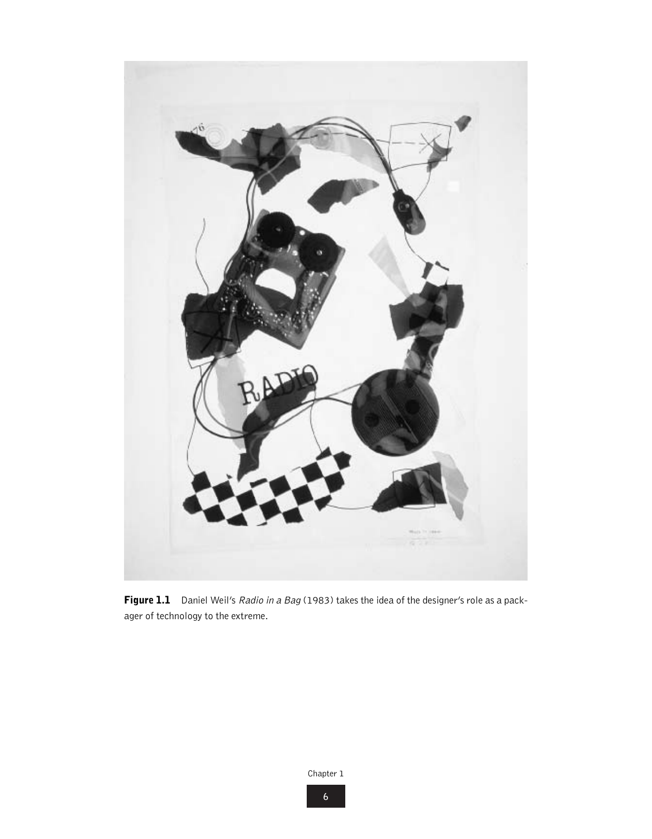

Figure 1.1 Daniel Weil's Radio in a Bag (1983) takes the idea of the designer's role as a packager of technology to the extreme.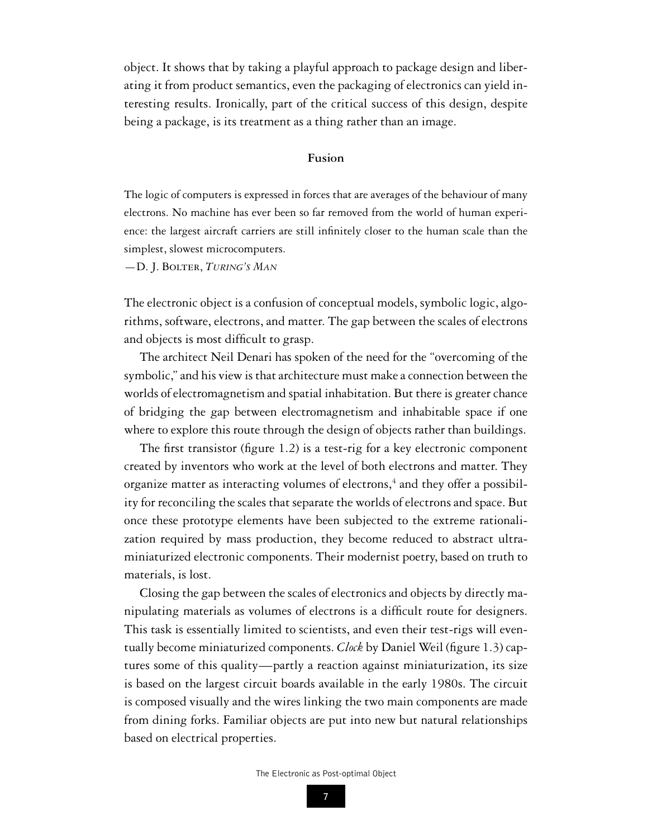object. It shows that by taking a playful approach to package design and liberating it from product semantics, even the packaging of electronics can yield interesting results. Ironically, part of the critical success of this design, despite being a package, is its treatment as a thing rather than an image.

## **Fusion**

The logic of computers is expressed in forces that are averages of the behaviour of many electrons. No machine has ever been so far removed from the world of human experience: the largest aircraft carriers are still infinitely closer to the human scale than the simplest, slowest microcomputers.

—D. J. Bolter, *TURING'S MAN*

The electronic object is a confusion of conceptual models, symbolic logic, algorithms, software, electrons, and matter. The gap between the scales of electrons and objects is most difficult to grasp.

The architect Neil Denari has spoken of the need for the "overcoming of the symbolic," and his view is that architecture must make a connection between the worlds of electromagnetism and spatial inhabitation. But there is greater chance of bridging the gap between electromagnetism and inhabitable space if one where to explore this route through the design of objects rather than buildings.

The first transistor (figure 1.2) is a test-rig for a key electronic component created by inventors who work at the level of both electrons and matter. They organize matter as interacting volumes of electrons, $4$  and they offer a possibility for reconciling the scales that separate the worlds of electrons and space. But once these prototype elements have been subjected to the extreme rationalization required by mass production, they become reduced to abstract ultraminiaturized electronic components. Their modernist poetry, based on truth to materials, is lost.

Closing the gap between the scales of electronics and objects by directly manipulating materials as volumes of electrons is a difficult route for designers. This task is essentially limited to scientists, and even their test-rigs will eventually become miniaturized components. *Clock* by Daniel Weil (figure 1.3) captures some of this quality—partly a reaction against miniaturization, its size is based on the largest circuit boards available in the early 1980s. The circuit is composed visually and the wires linking the two main components are made from dining forks. Familiar objects are put into new but natural relationships based on electrical properties.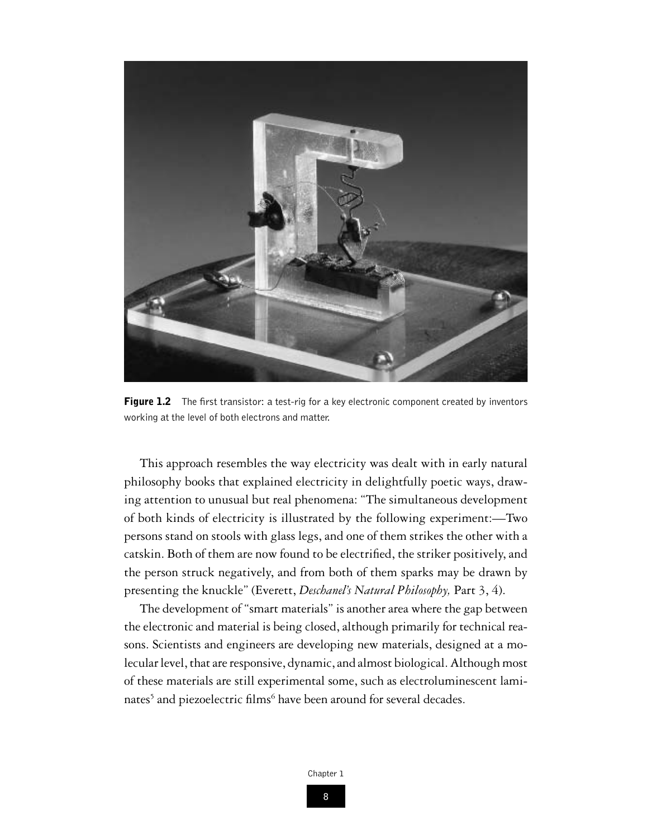

**Figure 1.2** The first transistor: a test-rig for a key electronic component created by inventors working at the level of both electrons and matter.

This approach resembles the way electricity was dealt with in early natural philosophy books that explained electricity in delightfully poetic ways, drawing attention to unusual but real phenomena: "The simultaneous development of both kinds of electricity is illustrated by the following experiment:—Two persons stand on stools with glass legs, and one of them strikes the other with a catskin. Both of them are now found to be electrified, the striker positively, and the person struck negatively, and from both of them sparks may be drawn by presenting the knuckle" (Everett, *Deschanel's Natural Philosophy,* Part 3, 4).

The development of "smart materials" is another area where the gap between the electronic and material is being closed, although primarily for technical reasons. Scientists and engineers are developing new materials, designed at a molecular level, that are responsive, dynamic, and almost biological. Although most of these materials are still experimental some, such as electroluminescent laminates<sup>5</sup> and piezoelectric films<sup>6</sup> have been around for several decades.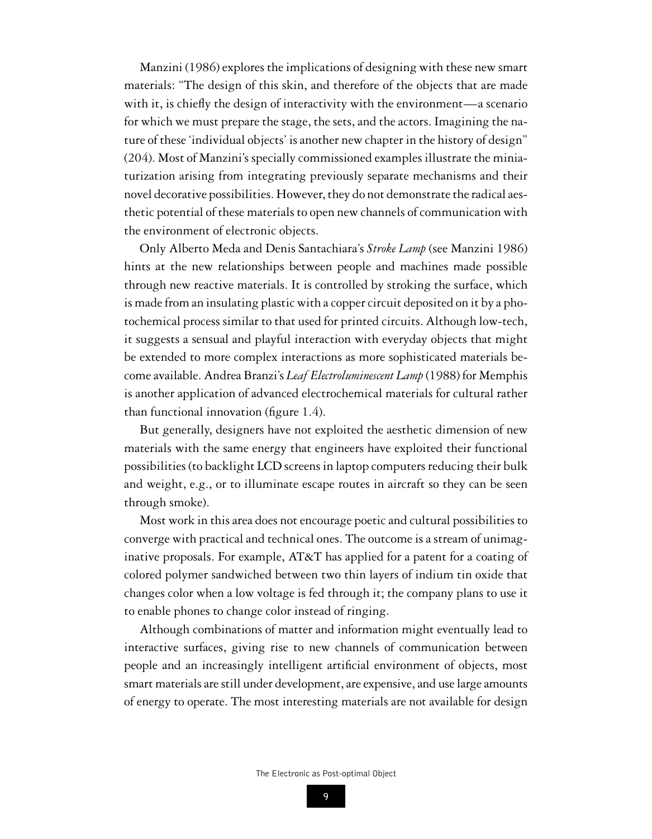Manzini (1986) explores the implications of designing with these new smart materials: "The design of this skin, and therefore of the objects that are made with it, is chiefly the design of interactivity with the environment—a scenario for which we must prepare the stage, the sets, and the actors. Imagining the nature of these 'individual objects' is another new chapter in the history of design" (204). Most of Manzini's specially commissioned examples illustrate the miniaturization arising from integrating previously separate mechanisms and their novel decorative possibilities. However, they do not demonstrate the radical aesthetic potential of these materials to open new channels of communication with the environment of electronic objects.

Only Alberto Meda and Denis Santachiara's *Stroke Lamp* (see Manzini 1986) hints at the new relationships between people and machines made possible through new reactive materials. It is controlled by stroking the surface, which is made from an insulating plastic with a copper circuit deposited on it by a photochemical process similar to that used for printed circuits. Although low-tech, it suggests a sensual and playful interaction with everyday objects that might be extended to more complex interactions as more sophisticated materials become available. Andrea Branzi's *Leaf Electroluminescent Lamp*(1988) for Memphis is another application of advanced electrochemical materials for cultural rather than functional innovation (figure 1.4).

But generally, designers have not exploited the aesthetic dimension of new materials with the same energy that engineers have exploited their functional possibilities (to backlight LCD screens in laptop computers reducing their bulk and weight, e.g., or to illuminate escape routes in aircraft so they can be seen through smoke).

Most work in this area does not encourage poetic and cultural possibilities to converge with practical and technical ones. The outcome is a stream of unimaginative proposals. For example, AT&T has applied for a patent for a coating of colored polymer sandwiched between two thin layers of indium tin oxide that changes color when a low voltage is fed through it; the company plans to use it to enable phones to change color instead of ringing.

Although combinations of matter and information might eventually lead to interactive surfaces, giving rise to new channels of communication between people and an increasingly intelligent artificial environment of objects, most smart materials are still under development, are expensive, and use large amounts of energy to operate. The most interesting materials are not available for design

The Electronic as Post-optimal Object

**9**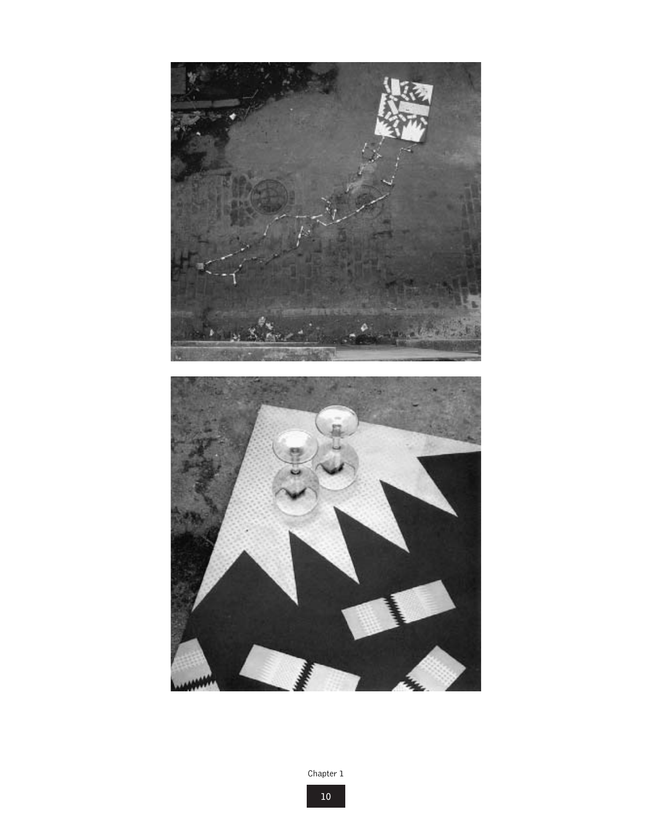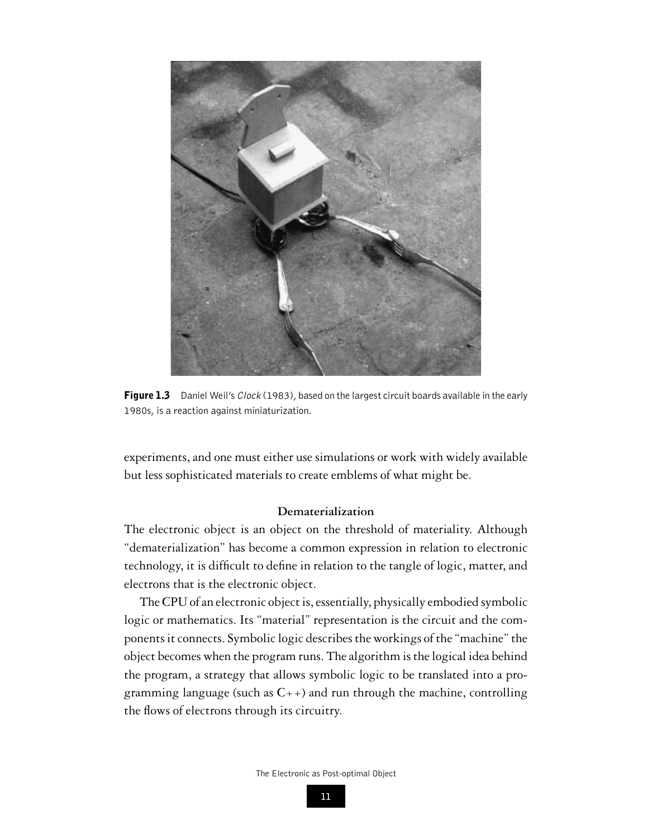

Figure 1.3 Daniel Weil's Clock (1983), based on the largest circuit boards available in the early 1980s, is a reaction against miniaturization.

experiments, and one must either use simulations or work with widely available but less sophisticated materials to create emblems of what might be.

## **Dematerialization**

The electronic object is an object on the threshold of materiality. Although "dematerialization" has become a common expression in relation to electronic technology, it is difficult to define in relation to the tangle of logic, matter, and electrons that is the electronic object.

The CPU of an electronic object is, essentially, physically embodied symbolic logic or mathematics. Its "material" representation is the circuit and the components it connects. Symbolic logic describes the workings of the "machine" the object becomes when the program runs. The algorithm is the logical idea behind the program, a strategy that allows symbolic logic to be translated into a programming language (such as  $C_{++}$ ) and run through the machine, controlling the flows of electrons through its circuitry.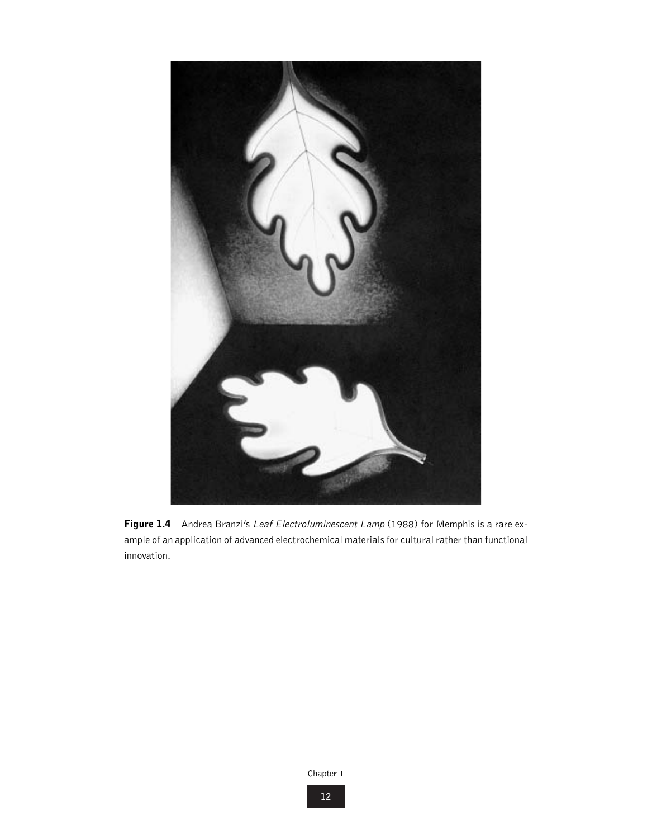

Figure 1.4 Andrea Branzi's Leaf Electroluminescent Lamp (1988) for Memphis is a rare example of an application of advanced electrochemical materials for cultural rather than functional innovation.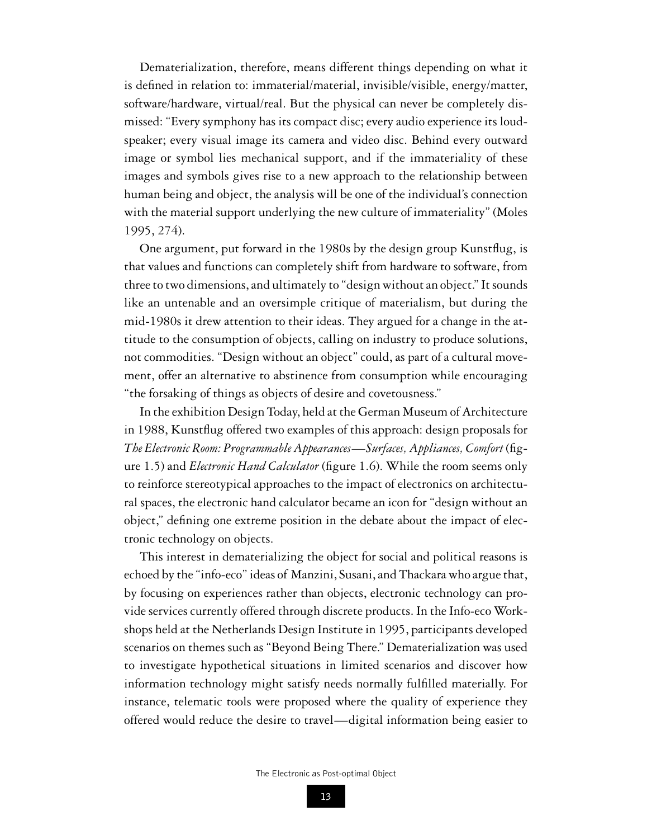Dematerialization, therefore, means different things depending on what it is defined in relation to: immaterial/material, invisible/visible, energy/matter, software/hardware, virtual/real. But the physical can never be completely dismissed: "Every symphony has its compact disc; every audio experience its loudspeaker; every visual image its camera and video disc. Behind every outward image or symbol lies mechanical support, and if the immateriality of these images and symbols gives rise to a new approach to the relationship between human being and object, the analysis will be one of the individual's connection with the material support underlying the new culture of immateriality" (Moles 1995, 274).

One argument, put forward in the 1980s by the design group Kunstflug, is that values and functions can completely shift from hardware to software, from three to two dimensions, and ultimately to "design without an object." It sounds like an untenable and an oversimple critique of materialism, but during the mid-1980s it drew attention to their ideas. They argued for a change in the attitude to the consumption of objects, calling on industry to produce solutions, not commodities. "Design without an object" could, as part of a cultural movement, offer an alternative to abstinence from consumption while encouraging "the forsaking of things as objects of desire and covetousness."

In the exhibition Design Today, held at the German Museum of Architecture in 1988, Kunstflug offered two examples of this approach: design proposals for *The Electronic Room: Programmable Appearances—Surfaces, Appliances, Comfort* (figure 1.5) and *Electronic Hand Calculator* (figure 1.6). While the room seems only to reinforce stereotypical approaches to the impact of electronics on architectural spaces, the electronic hand calculator became an icon for "design without an object," defining one extreme position in the debate about the impact of electronic technology on objects.

This interest in dematerializing the object for social and political reasons is echoed by the "info-eco" ideas of Manzini, Susani, and Thackara who argue that, by focusing on experiences rather than objects, electronic technology can provide services currently offered through discrete products. In the Info-eco Workshops held at the Netherlands Design Institute in 1995, participants developed scenarios on themes such as "Beyond Being There." Dematerialization was used to investigate hypothetical situations in limited scenarios and discover how information technology might satisfy needs normally fulfilled materially. For instance, telematic tools were proposed where the quality of experience they offered would reduce the desire to travel—digital information being easier to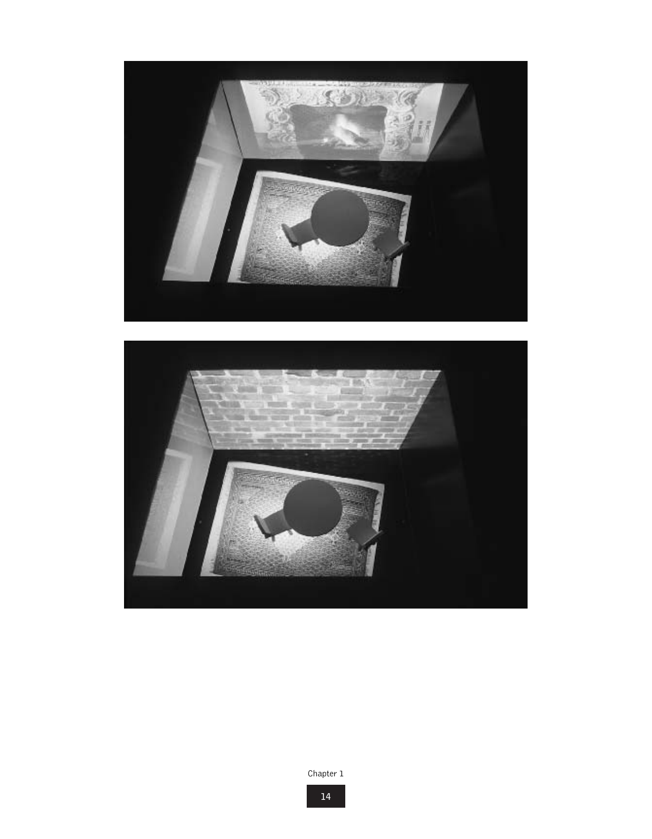

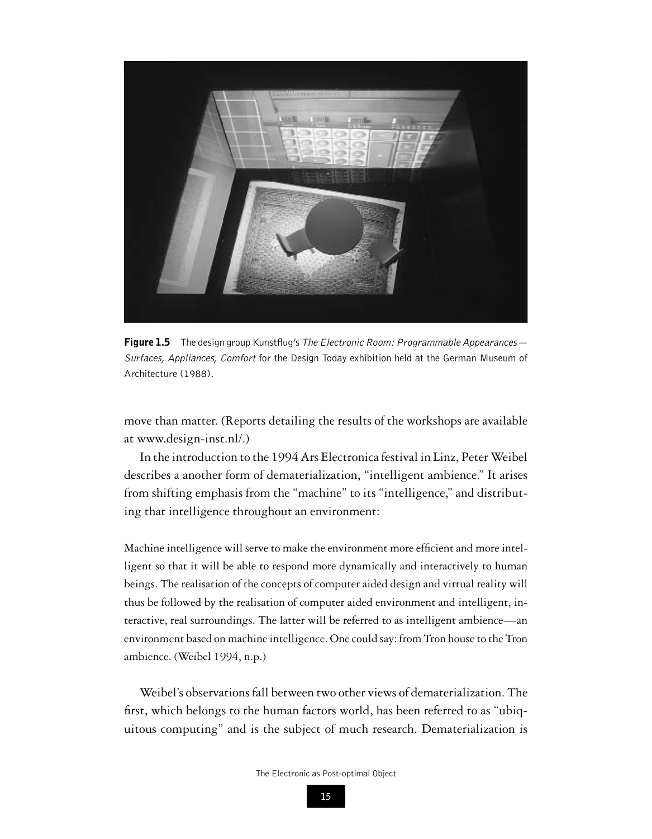

**Figure 1.5** The design group Kunstflug's The Electronic Room: Programmable Appearances — Surfaces, Appliances, Comfort for the Design Today exhibition held at the German Museum of Architecture (1988).

move than matter. (Reports detailing the results of the workshops are available at www.design-inst.nl/.)

In the introduction to the 1994 Ars Electronica festival in Linz, Peter Weibel describes a another form of dematerialization, "intelligent ambience." It arises from shifting emphasis from the "machine" to its "intelligence," and distributing that intelligence throughout an environment:

Machine intelligence will serve to make the environment more efficient and more intelligent so that it will be able to respond more dynamically and interactively to human beings. The realisation of the concepts of computer aided design and virtual reality will thus be followed by the realisation of computer aided environment and intelligent, interactive, real surroundings. The latter will be referred to as intelligent ambience—an environment based on machine intelligence. One could say: from Tron house to the Tron ambience. (Weibel 1994, n.p.)

Weibel's observations fall between two other views of dematerialization. The first, which belongs to the human factors world, has been referred to as "ubiquitous computing" and is the subject of much research. Dematerialization is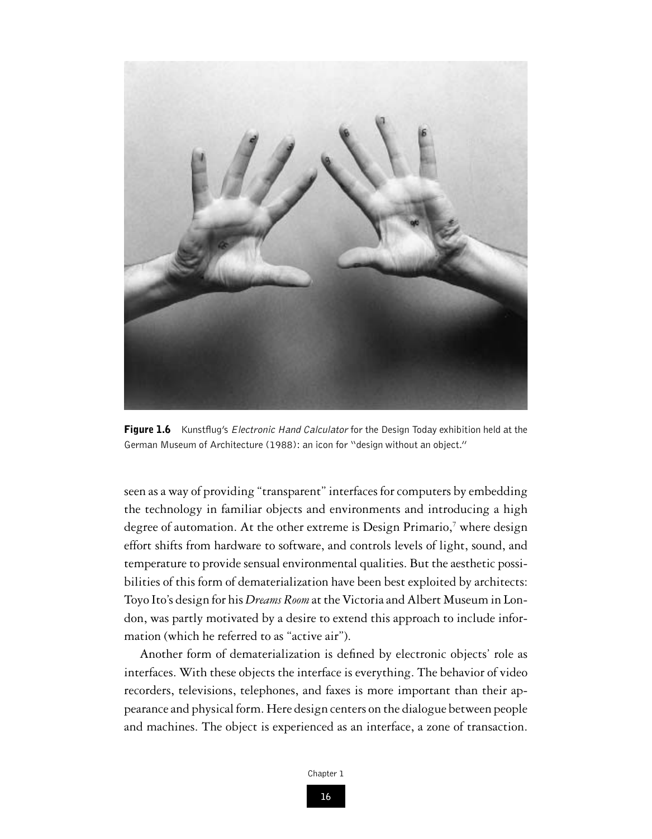

**Figure 1.6** Kunstflug's *Electronic Hand Calculator* for the Design Today exhibition held at the German Museum of Architecture (1988): an icon for "design without an object."

seen as a way of providing "transparent" interfaces for computers by embedding the technology in familiar objects and environments and introducing a high degree of automation. At the other extreme is Design Primario, $\bar{\ }$  where design effort shifts from hardware to software, and controls levels of light, sound, and temperature to provide sensual environmental qualities. But the aesthetic possibilities of this form of dematerialization have been best exploited by architects: Toyo Ito's design for his *Dreams Room* at the Victoria and Albert Museum in London, was partly motivated by a desire to extend this approach to include information (which he referred to as "active air").

Another form of dematerialization is defined by electronic objects' role as interfaces. With these objects the interface is everything. The behavior of video recorders, televisions, telephones, and faxes is more important than their appearance and physical form. Here design centers on the dialogue between people and machines. The object is experienced as an interface, a zone of transaction.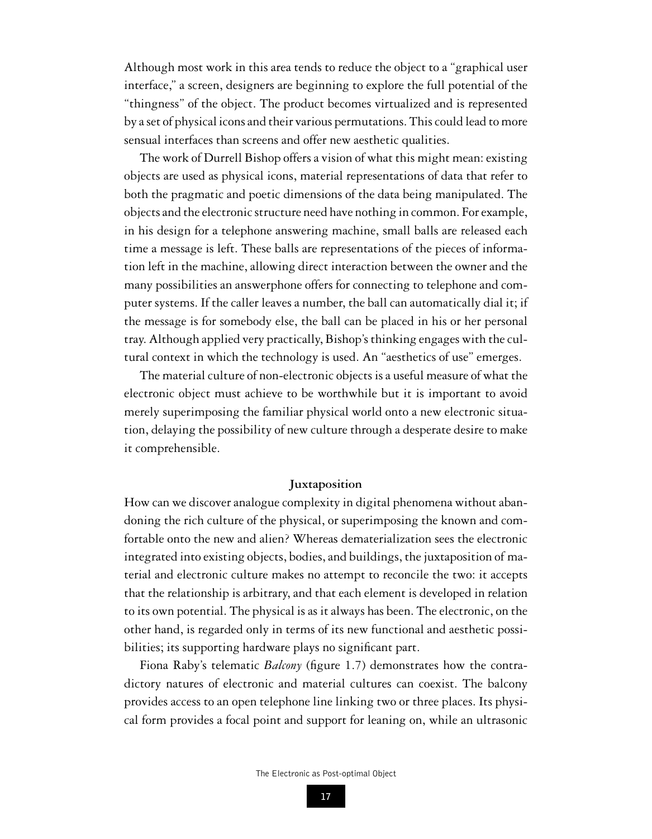Although most work in this area tends to reduce the object to a "graphical user interface," a screen, designers are beginning to explore the full potential of the "thingness" of the object. The product becomes virtualized and is represented by a set of physical icons and their various permutations. This could lead to more sensual interfaces than screens and offer new aesthetic qualities.

The work of Durrell Bishop offers a vision of what this might mean: existing objects are used as physical icons, material representations of data that refer to both the pragmatic and poetic dimensions of the data being manipulated. The objects and the electronic structure need have nothing in common. For example, in his design for a telephone answering machine, small balls are released each time a message is left. These balls are representations of the pieces of information left in the machine, allowing direct interaction between the owner and the many possibilities an answerphone offers for connecting to telephone and computer systems. If the caller leaves a number, the ball can automatically dial it; if the message is for somebody else, the ball can be placed in his or her personal tray. Although applied very practically, Bishop's thinking engages with the cultural context in which the technology is used. An "aesthetics of use" emerges.

The material culture of non-electronic objects is a useful measure of what the electronic object must achieve to be worthwhile but it is important to avoid merely superimposing the familiar physical world onto a new electronic situation, delaying the possibility of new culture through a desperate desire to make it comprehensible.

## **Juxtaposition**

How can we discover analogue complexity in digital phenomena without abandoning the rich culture of the physical, or superimposing the known and comfortable onto the new and alien? Whereas dematerialization sees the electronic integrated into existing objects, bodies, and buildings, the juxtaposition of material and electronic culture makes no attempt to reconcile the two: it accepts that the relationship is arbitrary, and that each element is developed in relation to its own potential. The physical is as it always has been. The electronic, on the other hand, is regarded only in terms of its new functional and aesthetic possibilities; its supporting hardware plays no significant part.

Fiona Raby's telematic *Balcony* (figure 1.7) demonstrates how the contradictory natures of electronic and material cultures can coexist. The balcony provides access to an open telephone line linking two or three places. Its physical form provides a focal point and support for leaning on, while an ultrasonic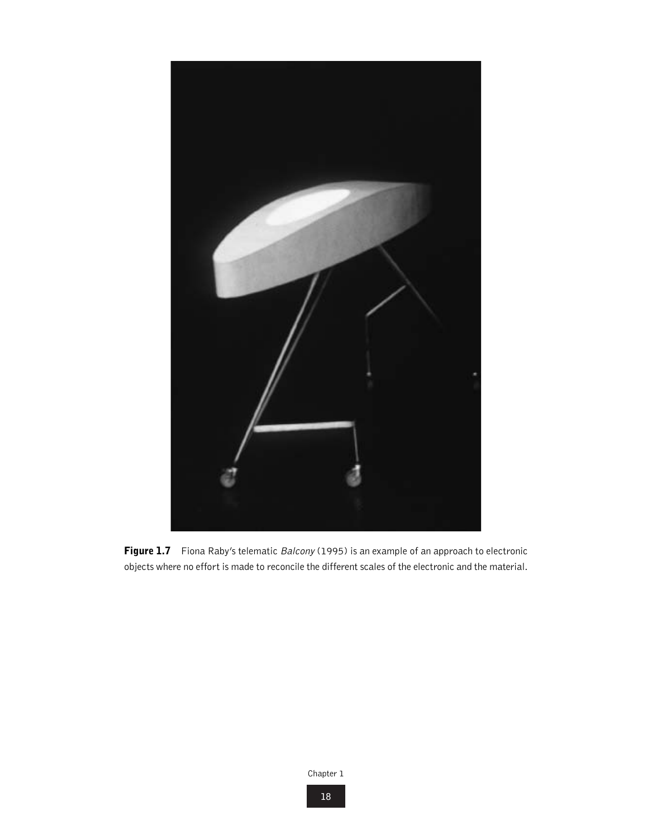

Figure 1.7 Fiona Raby's telematic Balcony (1995) is an example of an approach to electronic objects where no effort is made to reconcile the different scales of the electronic and the material.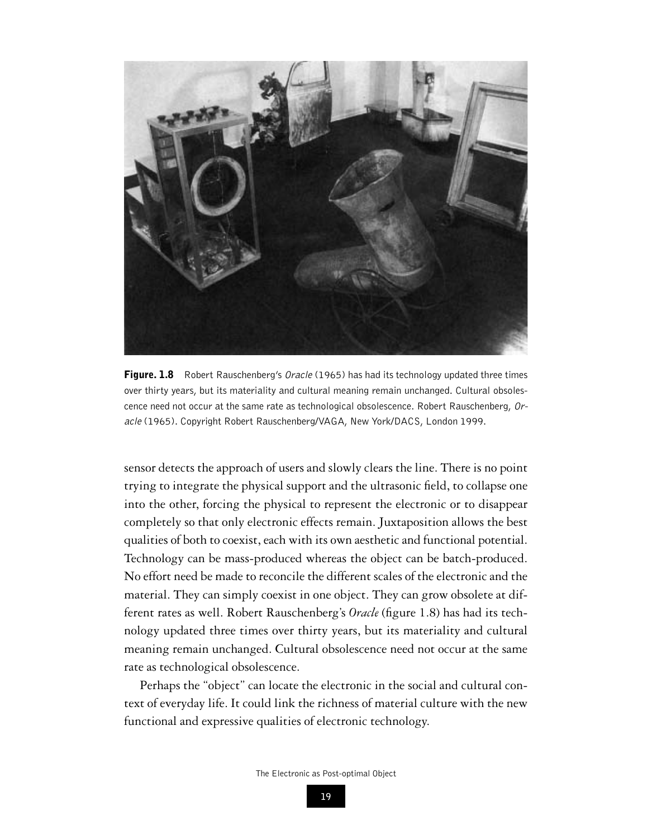

**Figure. 1.8** Robert Rauschenberg's Oracle (1965) has had its technology updated three times over thirty years, but its materiality and cultural meaning remain unchanged. Cultural obsolescence need not occur at the same rate as technological obsolescence. Robert Rauschenberg, Oracle (1965). Copyright Robert Rauschenberg/VAGA, New York/DACS, London 1999.

sensor detects the approach of users and slowly clears the line. There is no point trying to integrate the physical support and the ultrasonic field, to collapse one into the other, forcing the physical to represent the electronic or to disappear completely so that only electronic effects remain. Juxtaposition allows the best qualities of both to coexist, each with its own aesthetic and functional potential. Technology can be mass-produced whereas the object can be batch-produced. No effort need be made to reconcile the different scales of the electronic and the material. They can simply coexist in one object. They can grow obsolete at different rates as well. Robert Rauschenberg's *Oracle* (figure 1.8) has had its technology updated three times over thirty years, but its materiality and cultural meaning remain unchanged. Cultural obsolescence need not occur at the same rate as technological obsolescence.

Perhaps the "object" can locate the electronic in the social and cultural context of everyday life. It could link the richness of material culture with the new functional and expressive qualities of electronic technology.